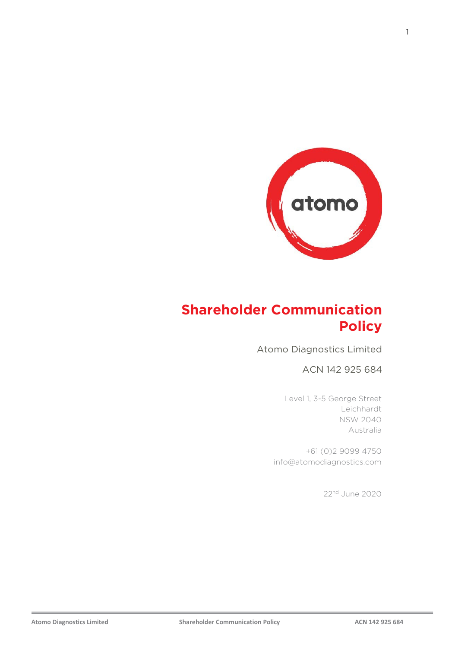

## **Shareholder Communication Policy**

Atomo Diagnostics Limited

ACN 142 925 684

Level 1, 3-5 George Street Leichhardt NSW 2040 Australia

+61 (0)2 9099 4750 info@atomodiagnostics.com

22nd June 2020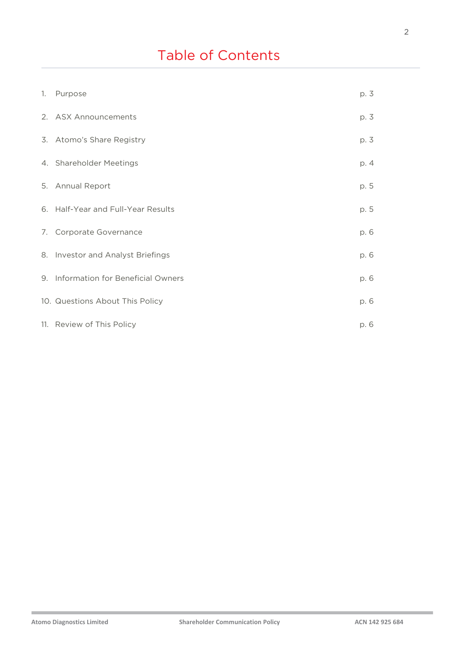# Table of Contents

| 1. Purpose                           | p. 3 |
|--------------------------------------|------|
| 2. ASX Announcements                 | p. 3 |
| 3. Atomo's Share Registry            | p. 3 |
| 4. Shareholder Meetings              | p. 4 |
| 5. Annual Report                     | p. 5 |
| 6. Half-Year and Full-Year Results   | p. 5 |
| 7. Corporate Governance              | p. 6 |
| 8. Investor and Analyst Briefings    | p. 6 |
| 9. Information for Beneficial Owners | p. 6 |
| 10. Questions About This Policy      | p. 6 |
| 11. Review of This Policy            | p. 6 |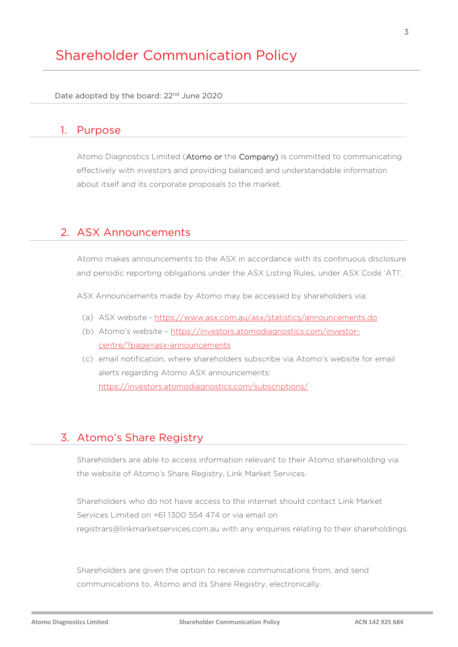## Shareholder Communication Policy

Date adopted by the board: 22<sup>nd</sup> June 2020

#### 1. Purpose

Atomo Diagnostics Limited (Atomo or the Company) is committed to communicating effectively with investors and providing balanced and understandable information about itself and its corporate proposals to the market.

#### 2. ASX Announcements

Atomo makes announcements to the ASX in accordance with its continuous disclosure and periodic reporting obligations under the ASX Listing Rules, under ASX Code 'AT1'.

ASX Announcements made by Atomo may be accessed by shareholders via:

- (a) ASX website <https://www.asx.com.au/asx/statistics/announcements.do>
- (b) Atomo's website [https://investors.atomodiagnostics.com/investor](https://investors.atomodiagnostics.com/investor-centre/?page=asx-announcements)[centre/?page=asx-announcements](https://investors.atomodiagnostics.com/investor-centre/?page=asx-announcements)
- (c) email notification, where shareholders subscribe via Atomo's website for email alerts regarding Atomo ASX announcements: <https://investors.atomodiagnostics.com/subscriptions/>

#### 3. Atomo's Share Registry

Shareholders are able to access information relevant to their Atomo shareholding via the website of Atomo's Share Registry, Link Market Services.

Shareholders who do not have access to the internet should contact Link Market Services Limited on +61 1300 554 474 or via email on registrars@linkmarketservices.com.au with any enquiries relating to their shareholdings.

Shareholders are given the option to receive communications from, and send communications to, Atomo and its Share Registry, electronically.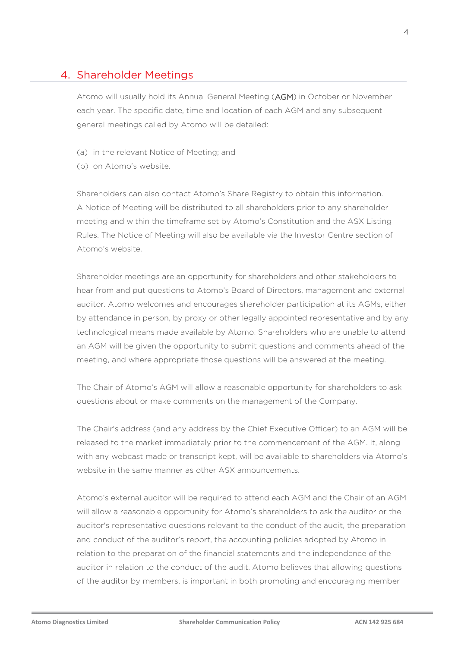## 4. Shareholder Meetings

Atomo will usually hold its Annual General Meeting (AGM) in October or November each year. The specific date, time and location of each AGM and any subsequent general meetings called by Atomo will be detailed:

- (a) in the relevant Notice of Meeting; and
- (b) on Atomo's website.

Shareholders can also contact Atomo's Share Registry to obtain this information. A Notice of Meeting will be distributed to all shareholders prior to any shareholder meeting and within the timeframe set by Atomo's Constitution and the ASX Listing Rules. The Notice of Meeting will also be available via the Investor Centre section of Atomo's website.

Shareholder meetings are an opportunity for shareholders and other stakeholders to hear from and put questions to Atomo's Board of Directors, management and external auditor. Atomo welcomes and encourages shareholder participation at its AGMs, either by attendance in person, by proxy or other legally appointed representative and by any technological means made available by Atomo. Shareholders who are unable to attend an AGM will be given the opportunity to submit questions and comments ahead of the meeting, and where appropriate those questions will be answered at the meeting.

The Chair of Atomo's AGM will allow a reasonable opportunity for shareholders to ask questions about or make comments on the management of the Company.

The Chair's address (and any address by the Chief Executive Officer) to an AGM will be released to the market immediately prior to the commencement of the AGM. It, along with any webcast made or transcript kept, will be available to shareholders via Atomo's website in the same manner as other ASX announcements.

Atomo's external auditor will be required to attend each AGM and the Chair of an AGM will allow a reasonable opportunity for Atomo's shareholders to ask the auditor or the auditor's [representative](http://classic.austlii.edu.au/au/legis/cth/consol_act/ca2001172/s960.html#representative) questions relevant to the conduct of the audit, the preparation and conduct of the auditor's report, the accounting policies adopted by Atomo in relation to the preparation of the financial statements and the independence of the auditor in relation to the conduct of the audit. Atomo believes that allowing questions of the auditor by members, is important in both promoting and encouraging member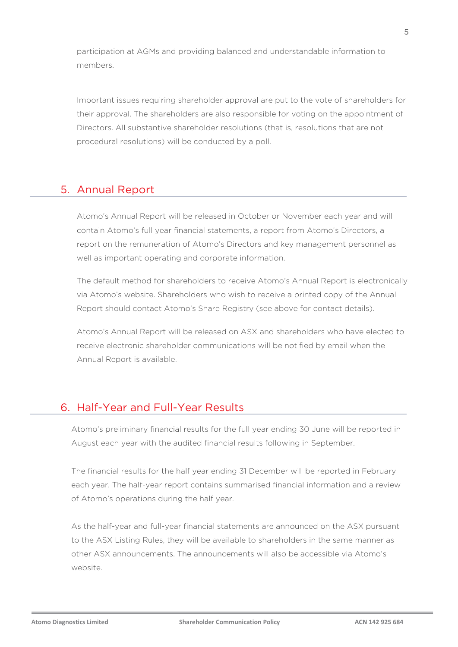participation at AGMs and providing balanced and understandable information to members.

Important issues requiring shareholder approval are put to the vote of shareholders for their approval. The shareholders are also responsible for voting on the appointment of Directors. All substantive shareholder resolutions (that is, resolutions that are not procedural resolutions) will be conducted by a poll.

## 5. Annual Report

Atomo's Annual Report will be released in October or November each year and will contain Atomo's full year financial statements, a report from Atomo's Directors, a report on the remuneration of Atomo's Directors and key management personnel as well as important operating and corporate information.

The default method for shareholders to receive Atomo's Annual Report is electronically via Atomo's website. Shareholders who wish to receive a printed copy of the Annual Report should contact Atomo's Share Registry (see above for contact details).

Atomo's Annual Report will be released on ASX and shareholders who have elected to receive electronic shareholder communications will be notified by email when the Annual Report is available.

## 6. Half-Year and Full-Year Results

Atomo's preliminary financial results for the full year ending 30 June will be reported in August each year with the audited financial results following in September.

The financial results for the half year ending 31 December will be reported in February each year. The half-year report contains summarised financial information and a review of Atomo's operations during the half year.

As the half-year and full-year financial statements are announced on the ASX pursuant to the ASX Listing Rules, they will be available to shareholders in the same manner as other ASX announcements. The announcements will also be accessible via Atomo's website.